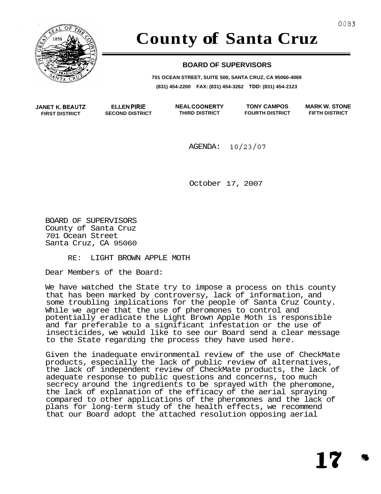

## **County of Santa Cruz**

#### **BOARD OF SUPERVISORS**

**701 OCEAN STREET, SUITE 500, SANTA CRUZ, CA 95060-4069 (831) 454-2200 FAX: (831) 454-3262 TDD: (831) 454-2123** 

**JANET K. BEAUT2 FIRST DISTRICT** 

**ELLEN PlRlE SECOND DISTRICT** 

**NEAL COONERTY TONY CAMPOS THIRD DISTRICT FOURTH DISTRICT**  **MARK W. STONE FIFTH DISTRICT** 

**17** 

AGENDA: **10/23/07** 

October 17, 2007

BOARD OF SUPERVISORS County of Santa Cruz 701 Ocean Street Santa Cruz, CA 95060

RE: LIGHT BROWN APPLE MOTH

Dear Members of the Board:

We have watched the State try to impose a process on this county that has been marked by controversy, lack of information, and some troubling implications for the people of Santa Cruz County. While we agree that the use of pheromones to control and potentially eradicate the Light Brown Apple Moth is responsible and far preferable to a significant infestation or the use of insecticides, we would like to see our Board send a clear message to the State regarding the process they have used here.

Given the inadequate environmental review of the use of CheckMate products, especially the lack of public review of alternatives, the lack of independent review of CheckMate products, the lack of adequate response to public questions and concerns, too much secrecy around the ingredients to be sprayed with the pheromone, the lack of explanation of the efficacy of the aerial spraying compared to other applications of the pheromones and the lack of plans for long-term study of the health effects, we recommend that our Board adopt the attached resolution opposing aerial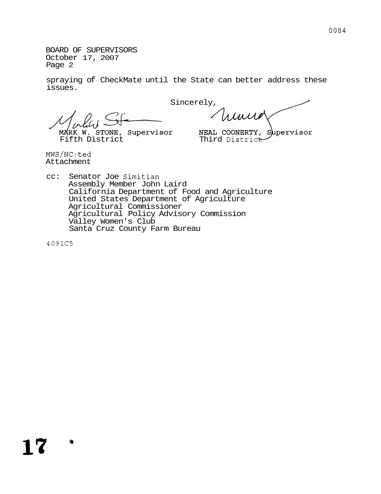BOARD OF SUPERVISORS October 17, 2007 [Page 2](#page-5-0)

spraying of CheckMate until the State can better address these issues.

Sincerely,

Winner

MARK W. STONE, Supervisor MEAL COONERTY, Supervisor<br>Fifth District Third District

MWS/NC:ted Attachment

cc: Senator Joe Simitian Assembly Member John Laird California Department of Food and Agriculture United States Department of Agriculture Agricultural Commissioner Agricultural Policy Advisory Commission Valley Women's Club Santa Cruz County Farm Bureau

4091C5

- 安

17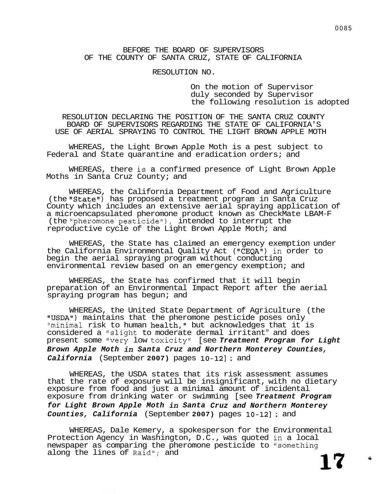#### RESOLUTION NO.

On the motion of Supervisor duly seconded by Supervisor the following resolution is adopted

RESOLUTION DECLARING THE POSITION OF THE SANTA CRUZ COUNTY BOARD OF SUPERVISORS REGARDING THE STATE OF CALIFORNIA'S USE OF AERIAL SPRAYING TO CONTROL THE LIGHT BROWN APPLE MOTH

WHEREAS, the Light Brown Apple Moth is a pest subject to Federal and State quarantine and eradication orders; and

WHEREAS, there is a confirmed presence of Light Brown Apple Moths in Santa Cruz County; and

WHEREAS, the California Department of Food and Agriculture (the "State") has proposed a treatment program in Santa Cruz County which includes an extensive aerial spraying application of a microencapsulated pheromone product known as CheckMate LBAM-F (the "pheromone pesticide"), intended to interrupt the reproductive cycle of the Light Brown Apple Moth; and

WHEREAS, the State has claimed an emergency exemption under the California Environmental Quality Act ("CEQA") in order to begin the aerial spraying program without conducting environmental review based on an emergency exemption; and

WHEREAS, the State has confirmed that it will begin preparation of an Environmental Impact Report after the aerial spraying program has begun; and

WHEREAS, the United State Department of Agriculture (the "USDA") maintains that the pheromone pesticide poses only "minimal risk to human health," but acknowledges that it is considered a "slight to moderate dermal irritant" and does present some "very low toxicity" [see *Treatment Program for Light Brown Apple Moth in Santa Cruz and Northern Monterey Counties, California* (September **2007)** pages **10-121** ; and

WHEREAS, the USDA states that its risk assessment assumes that the rate of exposure will be insignificant, with no dietary exposure from food and just a minimal amount of incidental exposure from drinking water or swimming [see *Treatment Program for Light Brown Apple Moth in Santa Cruz and Northern Monterey Counties, California* (September **2007)** pages **10-121** ; and

WHEREAS, Dale Kemery, a spokesperson for the Environmental Protection Agency in Washington, D.C., was quoted in a local newspaper as comparing the pheromone pesticide to "something along the lines of Raid"; and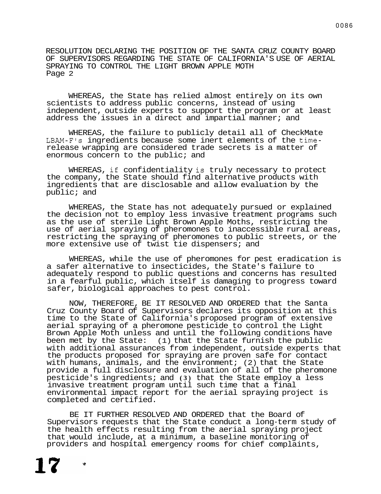RESOLUTION DECLARING THE POSITION OF THE SANTA CRUZ COUNTY BOARD OF SUPERVISORS REGARDING THE STATE OF CALIFORNIA'S USE OF AERIAL SPRAYING TO CONTROL THE LIGHT BROWN APPLE MOTH [Page 2](#page-5-0)

WHEREAS, the State has relied almost entirely on its own scientists to address public concerns, instead of using independent, outside experts to support the program or at least address the issues in a direct and impartial manner; and

WHEREAS, the failure to publicly detail all of CheckMate LBAM-F's ingredients because some inert elements of the timerelease wrapping are considered trade secrets is a matter of enormous concern to the public; and

WHEREAS, if confidentiality is truly necessary to protect the company, the State should find alternative products with ingredients that are disclosable and allow evaluation by the public; and

WHEREAS, the State has not adequately pursued or explained the decision not to employ less invasive treatment programs such as the use of sterile Light Brown Apple Moths, restricting the use of aerial spraying of pheromones to inaccessible rural areas, restricting the spraying of pheromones to public streets, or the more extensive use of twist tie dispensers; and

WHEREAS, while the use of pheromones for pest eradication is a safer alternative to insecticides, the State's failure to adequately respond to public questions and concerns has resulted in a fearful public, which itself is damaging to progress toward safer, biological approaches to pest control.

NOW, THEREFORE, BE IT RESOLVED AND ORDERED that the Santa Cruz County Board of Supervisors declares its opposition at this time to the State of California's proposed program of extensive aerial spraying of a pheromone pesticide to control the Light Brown Apple Moth unless and until the following conditions have been met by the State: (1) that the State furnish the public with additional assurances from independent, outside experts that the products proposed for spraying are proven safe for contact with humans, animals, and the environment;  $(2)$  that the State provide a full disclosure and evaluation of all of the pheromone pesticide's ingredients; and **(3)** that the State employ a less invasive treatment program until such time that a final environmental impact report for the aerial spraying project is completed and certified.

BE IT FURTHER RESOLVED AND ORDERED that the Board of Supervisors requests that the State conduct a long-term study of the health effects resulting from the aerial spraying project that would include, at a minimum, a baseline monitoring of providers and hospital emergency rooms for chief complaints,

Ŵ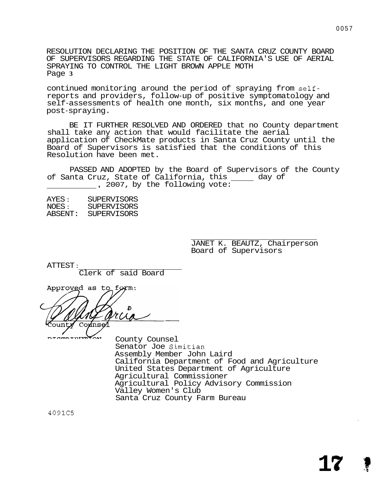RESOLUTION DECLARING THE POSITION OF THE SANTA CRUZ COUNTY BOARD OF SUPERVISORS REGARDING THE STATE OF CALIFORNIA'S USE OF AERIAL SPRAYING TO CONTROL THE LIGHT BROWN APPLE MOTH Page **3** 

continued monitoring around the period of spraying from selfreports and providers, follow-up of positive symptomatology and self-assessments of health one month, six months, and one year post-spraying.

BE IT FURTHER RESOLVED AND ORDERED that no County department shall take any action that would facilitate the aerial application of CheckMate products in Santa Cruz County until the Board of Supervisors is satisfied that the conditions of this Resolution have been met.

PASSED AND ADOPTED by the Board of Supervisors of the County of Santa Cruz, State of California, this \_\_\_\_\_ day of<br>, 2007, by the following vote:

| <b>SUPERVISORS</b> |
|--------------------|
| <b>SUPERVISORS</b> |
| <b>SUPERVISORS</b> |
|                    |

JANET K. BEAUTZ, Chairperson Board of Supervisors

ATTEST :

ntemptprm<sup>4</sup>

Clerk of said Board

Approved as to form: Co inse

County Counsel Senator Joe Simitian Assembly Member John Laird California Department of Food and Agriculture United States Department of Agriculture Agricultural Commissioner Agricultural Policy Advisory Commission Valley Women's Club Santa Cruz County Farm Bureau

4091C5

**1**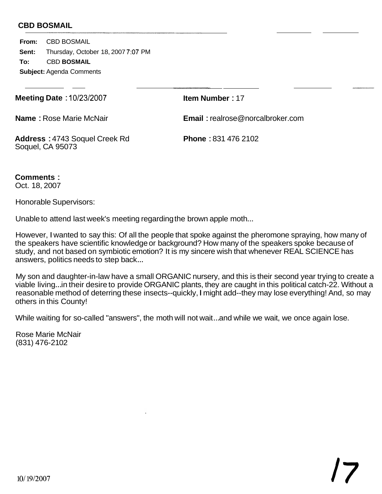<span id="page-5-0"></span>**From:** CBD BOSMAIL **Sent: To:** CBD **BOSMAIL Subject:** Agenda Comments Thursday, October 18, 2007 **7:07** PM

**Meeting Date** : 10/23/2007

**Item Number** : 17

**Name** : Rose Marie McNair

**Email** : [realrose@norcalbroker.com](mailto:realrose@norcalbroker.com)

**Address** : 4743 Soquel Creek Rd Soquel, CA 95073

**Phone** : 831 476 2102

**Comments** : Oct. 18, 2007

Honorable Supervisors:

Unable to attend last week's meeting regarding the brown apple moth...

However, I wanted to say this: Of all the people that spoke against the pheromone spraying, how many of the speakers have scientific knowledge or background? How many of the speakers spoke because of study, and not based on symbiotic emotion? It is my sincere wish that whenever REAL SCIENCE has answers, politics needs to step back ...

My son and daughter-in-law have a small ORGANIC nursery, and this is their second year trying to create a viable living... in their desire to provide ORGANIC plants, they are caught in this political catch-22. Without a reasonable method of deterring these insects--quickly, I might add--they may lose everything! And, so may others in this County!

While waiting for so-called "answers", the moth will not wait ... and while we wait, we once again lose.

Rose Marie McNair (831) 476-2102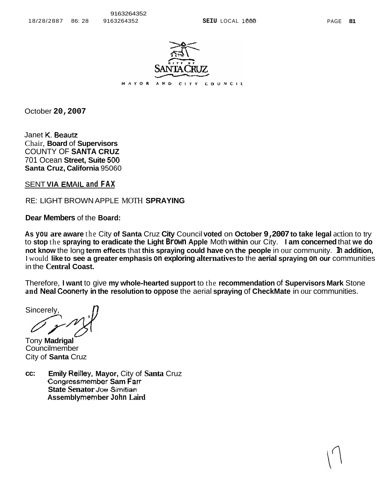

October **20,2007** 

Janet K. **Beautz**  Chair, **Board** of **Supervisors**  COUNTY OF **SANTA CRUZ**  701 Ocean **Street, Suite 500 Santa Cruz, California** 95060

SENT **VIA EMAlL and FAX** 

RE: LIGHT BROWN APPLE MOTH **SPRAYING** 

**Dear Members** of the **Board:** 

**As you are aware** the City **of Santa** Cruz **City** Council **voted** on **October 9, 2007 to take legal** action to try to **stop** the **spraying to eradicate the Light Brown Apple** Moth **within** our City. **I am concerned** that **we do not know** the long **term effects** that **this spraying could have** on **the people** in our community. **In addition,**  I would **like to see a greater emphasis on exploring alternatives** to the **aerial spraying on our** communities in the **Central Coast.** 

Therefore, **I want** to give **my whole-hearted support** to the **recommendation** of **Supervisors Mark** Stone **and Neal** Coonerty **in the resolution to oppose** the aerial **spraying** of **CheckMate** in our communities.

Sincerel<sup>®</sup>

Tony **Madrigal** - **Councilmember** City of **Santa** Cruz

**cc: Emily Reilley, Mayor,** City of **Santa** Cruz **Congressmember Sam Fan State Senator** Joe Simitian **Assembly mem ber John Laird**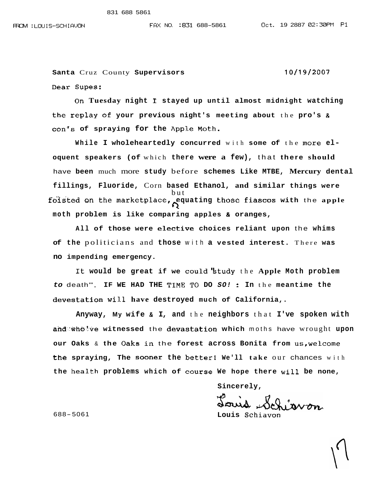**Santa** Cruz County **Supervisors** 10/19/2007 ear **Supes:** 

**On Tuesday night 1 stayed up until almost midnight watching the replay of your previous night's meeting about** the **pro's** *<sup>R</sup>* **con"s of spraying for the App1.e** Moth

While I wholeheartedly concurred with some of the more el**oquent speakers (of** which **there were a few),** that **there should**  have **been** much more **study** before **schemes Like MTBE, Mercury dental fillings, Fluoride,** Corn **based Ethanol, and similar things were**  foisted on the marketplace, equating those fiascos with the apple but  $\mathcal{Q}$ , **moth problem is like comparing apples** & **oranges,** 

**All of those were eleckive choices reliant upon** the **whims of the** politicians and **those** with **a vested interest.** There **was no impending emergency.** 

**It would be great if we** could'btudy the **Apple Moth problem**  *to* death", **IF WE HAD THE** TLME '1'0 **DO** *SO!* : **In** the **meantime the devestation wi1,1. have destroyed much of California,.** 

**Anyway, My wife** & **I, and** the **neighbors** that **I've spoken with ahd-tbhQ1,ve witnessed** the **devast-atton which** moths have wrought **upon our Oaks** & **the Oaks in** the **forest across Bonita from us,welcome the spraying, The sooner the better1 We'll take** our chances with **the health problems which of course We hope there will be none,** 

**Sincerely,** 

688-5061 **Louis Schiavon**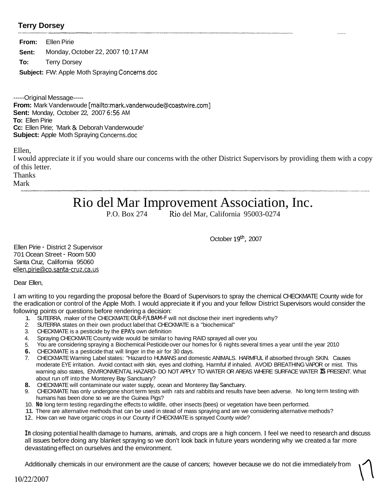#### **Terry Dorsey**  \*-- -\_N\*----\_\_\_lllwIu\_\_-

|        | <b>From:</b> Ellen Pirie                             |
|--------|------------------------------------------------------|
| Sent:  | Monday, October 22, 2007 10:17 AM                    |
| To: To | <b>Terry Dorsey</b>                                  |
|        | <b>Subject:</b> FW: Apple Moth Spraying Concerns.doc |

-----Original Message----- **From:** Mark Vanderwoude [mailto: mark.vanderwoude@coastwire.com] **Sent:** Monday, October 22, 2007 **6:56** AM **To:** Ellen Pirie **Cc:** Ellen Pirie; 'Mark & Deborah Vanderwoude' **Subject:** Apple Moth Spraying Concerns.doc

Ellen,

I would appreciate it if you would share our concerns with the other District Supervisors by providing them with a copy of this letter.

Thanks

Mark

# Rio del Mar Improvement Association, Inc.

Rio del Mar, California 95003-0274

October 19<sup>th</sup>, 2007

Ellen Pirie - District 2 Supervisor 701 Ocean Street - Room 500 Santa Cruz, California 95060 ellen.pirie@co.santa-cruz.ca.us

Dear Ellen,

I am writing to you regarding the proposal before the Board of Supervisors to spray the chemical CHECKMATE County wide for the eradication or control of the Apple Moth. I would appreciate it if you and your fellow District Supervisors would consider the following points or questions before rendering a decision:

- 1. SUTERRA, maker of the CHECKMATE OLR-F/LBAM-F will not disclose their inert ingredients why?
- 2. SUTERRA states on their own product label that CHECKMATE is a "biochemical"
- 3. CHECKMATE is a pesticide by the EPA's own definition
- 4. Spraying CHECKMATE County wide would be similar to having RAID sprayed all over you
- 5. You are considering spraying a Biochemical Pesticide over our homes for 6 nights several times a year until the year 2010
- **6.**  CHECKMATE is a pesticide that will linger in the air for 30 days.
- 7. CHECKMATE Warning Label states: "Hazard to HUMANS and domestic ANIMALS. HARMFUL if absorbed through SKIN. Causes moderate EYE irritation. Avoid contact with skin, eyes and clothing. Harmful if inhaled. AVOID BREATHING VAPOR or mist. This warning also states, ENVIRONMENTAL HAZARD- DO NOT APPLY TO WATER OR AREAS WHERE SURFACE WATER **IS** PRESENT. What about run off into the Monterey Bay Sanctuary?
- **8.**  CHECKMATE will contaminate our water supply, ocean and Monterey Bay Sanctuary.
- 9. CHECKMATE has only undergone short term tests with rats and rabbits and results have been adverse. No long term testing with humans has been done so we are the Guinea Pigs?
- 10. **No** long term testing regarding the effects to wildlife, other insects (bees) or vegetation have been performed.
- 11. There are alternative methods that can be used in stead of mass spraying and are we considering alternative methods?
- 12. How can we have organic crops in our County if CHECKMATE is sprayed County wide?

**In** closing potential health damage to humans, animals, and crops are a high concern. I feel we need to research and discuss all issues before doing any blanket spraying so we don't look back in future years wondering why we created a far more devastating effect on ourselves and the environment.

Additionally chemicals in our environment are the cause of cancers; however because we do not die immediately from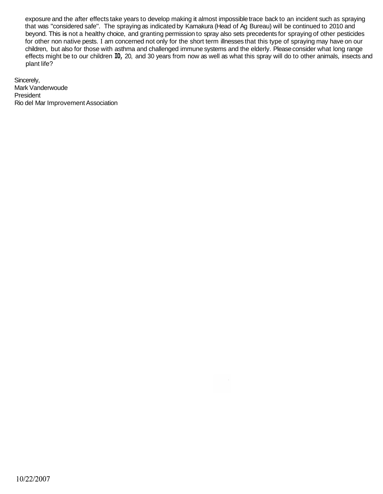exposure and the after effects take years to develop making it almost impossible trace back to an incident such as spraying that was "considered safe". The spraying as indicated by Kamakura (Head of Ag Bureau) will be continued to 2010 and beyond. This **is** not a healthy choice, and granting permission to spray also sets precedents for spraying of other pesticides for other non native pests. I am concerned not only for the short term illnesses that this type of spraying may have on our children, but also for those with asthma and challenged immune systems and the elderly. Please consider what long range effects might be to our children **IO,** 20, and 30 years from now as well as what this spray will do to other animals, insects and plant life?

Sincerely, Mark Vanderwoude President Rio del Mar Improvement Association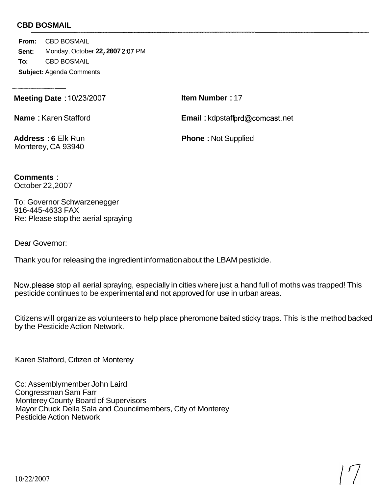**From:** CBD BOSMAIL **Sent: To:** CBD BOSMAIL **Subject:** Agenda Comments Monday, October **22, 2007 2:07** PM

**Meeting Date** : 10/23/2007

**Item Number** : 17

**Name** : Karen Stafford

**Email : kdpstaffprd@comcast.net** 

**Address** : **6** Elk Run Monterey, CA 93940

**Phone** : Not Supplied

**Comments** : October 22,2007

To: Governor Schwarzenegger Re: Please stop the aerial spraying 916-445-4633 FAX

Dear Governor:

Thank you for releasing the ingredient information about the LBAM pesticide.

Now.please stop all aerial spraying, especially in cities where just a hand full of moths was trapped! This pesticide continues to be experimental and not approved for use in urban areas.

Citizens will organize as volunteers to help place pheromone baited sticky traps. This is the method backed by the Pesticide Action Network.

Karen Stafford, Citizen of Monterey

Cc: Assemblymember John Laird Congressman Sam Farr Monterey County Board of Supervisors Mayor Chuck Della Sala and Councilmembers, City of Monterey Pesticide Action Network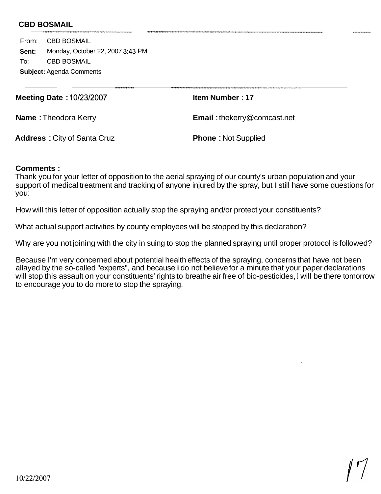From: CBD BOSMAIL **Sent:**  To: CBD BOSMAIL **Subject:** Agenda Comments Monday, October 22, 2007 **3:43** PM

**Meeting Date** : **10/23/2007** 

**Item Number** : **<sup>17</sup>**

**Name** : Theodora Kerry

**Email** : [thekerry@comcast.net](mailto:thekerry@comcast.net)

**Address** : City of Santa Cruz

**Phone** : Not Supplied

### **Comments** :

Thank you for your letter of opposition to the aerial spraying of our county's urban population and your support of medical treatment and tracking of anyone injured by the spray, but I still have some questions for you:

How will this letter of opposition actually stop the spraying and/or protect your constituents?

What actual support activities by county employees will be stopped by this declaration?

Why are you not joining with the city in suing to stop the planned spraying until proper protocol is followed?

Because I'm very concerned about potential health effects of the spraying, concerns that have not been allayed by the so-called "experts", and because i do not believe for a minute that your paper declarations will stop this assault on your constituents' rights to breathe air free of bio-pesticides, **I** will be there tomorrow to encourage you to do more to stop the spraying.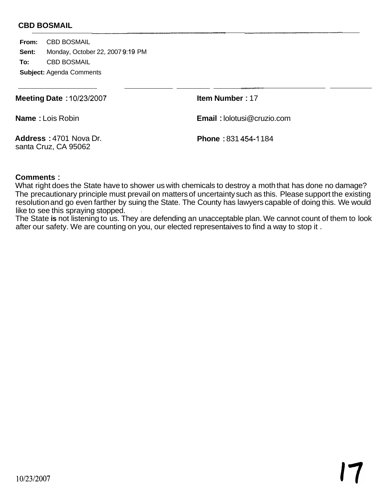**From:** CBD BOSMAIL **Sent: To:** CBD BOSMAIL **Subject:** Agenda Comments Monday, October 22, 2007 9:19 PM

**Meeting Date** : 10/23/2007

**Item Number** : 17

**Name** : Lois Robin

**Email** : [lolotusi@cruzio.com](mailto:lolotusi@cruzio.com)

**Address** : 4701 Nova Dr. santa Cruz, CA 95062

**Phone** : 831 454-1 184

#### **Comments** :

What right does the State have to shower us with chemicals to destroy a moth that has done no damage? The precautionary principle must prevail on matters of uncertainty such as this. Please support the existing resolution and go even farther by suing the State. The County has lawyers capable of doing this. We would like to see this spraying stopped. .

The State **is** not listening to us. They are defending an unacceptable plan. We cannot count of them to look after our safety. We are counting on you, our elected representaives to find a way to stop it .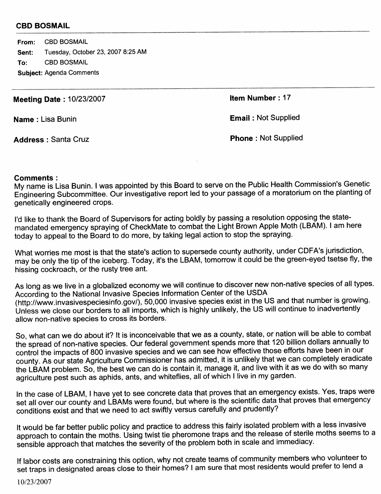**CBD BOSMAIL** From: Tuesday, October 23, 2007 8:25 AM Sent: **CBD BOSMAIL** To: **Subject: Agenda Comments** 

**Meeting Date: 10/23/2007** 

Item Number: 17

Name: Lisa Bunin

**Address: Santa Cruz** 

**Phone: Not Supplied** 

**Email: Not Supplied** 

#### **Comments:**

My name is Lisa Bunin. I was appointed by this Board to serve on the Public Health Commission's Genetic Engineering Subcommittee. Our investigative report led to your passage of a moratorium on the planting of genetically engineered crops.

I'd like to thank the Board of Supervisors for acting boldly by passing a resolution opposing the statemandated emergency spraying of CheckMate to combat the Light Brown Apple Moth (LBAM). I am here today to appeal to the Board to do more, by taking legal action to stop the spraying.

What worries me most is that the state's action to supersede county authority, under CDFA's jurisdiction, may be only the tip of the iceberg. Today, it's the LBAM, tomorrow it could be the green-eyed tsetse fly, the hissing cockroach, or the rusty tree ant.

As long as we live in a globalized economy we will continue to discover new non-native species of all types. According to the National Invasive Species Information Center of the USDA (http://www.invasivespeciesinfo.gov/), 50,000 invasive species exist in the US and that number is growing. Unless we close our borders to all imports, which is highly unlikely, the US will continue to inadvertently allow non-native species to cross its borders.

So, what can we do about it? It is inconceivable that we as a county, state, or nation will be able to combat the spread of non-native species. Our federal government spends more that 120 billion dollars annually to control the impacts of 800 invasive species and we can see how effective those efforts have been in our county. As our state Agriculture Commissioner has admitted, it is unlikely that we can completely eradicate the LBAM problem. So, the best we can do is contain it, manage it, and live with it as we do with so many agriculture pest such as aphids, ants, and whiteflies, all of which I live in my garden.

In the case of LBAM, I have yet to see concrete data that proves that an emergency exists. Yes, traps were set all over our county and LBAMs were found, but where is the scientific data that proves that emergency conditions exist and that we need to act swiftly versus carefully and prudently?

It would be far better public policy and practice to address this fairly isolated problem with a less invasive approach to contain the moths. Using twist tie pheromone traps and the release of sterile moths seems to a sensible approach that matches the severity of the problem both in scale and immediacy.

If labor costs are constraining this option, why not create teams of community members who volunteer to set traps in designated areas close to their homes? I am sure that most residents would prefer to lend a

10/23/2007